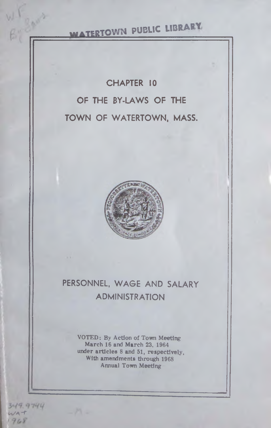# **WATERTOWN PUBLIC LIBRARY**

## CHAPTER 10 OF THE BY-LAWS OF THE TOWN OF WATERTOWN, MASS.



## PERSONNEL, WAGE AND SALARY ADMINISTRATION

VOTED: By Action of Town Meeting March 16 and March 23, 1964 under articles 8 and 51, respectively, With amendments through 1968 Annual Town Meeting

 $349.9744$  $WA$ <sup>- $r$ </sup> 1968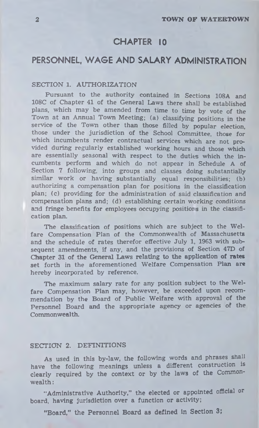## CHAPTER 10

## PERSONNEL, WAGE AND SALARY ADMINISTRATION

#### SECTION 1. AUTHORIZATION

Pursuant to the authority contained in Sections 108A and 108C of Chapter 41 of the General Laws there shall be established plans, which may be amended from time to time by vote of the Town at an Annual Town Meeting; (a) classifying positions in the service of the Town other than those filled by popular election, those under the jurisdiction of the School Committee, those for which incumbents render contractual services which are not provided during regularly established working hours and those which are essentially seasonal with respect to the duties which the incumbents perform and which do not appear in Schedule A of Section 7 following, into groups and classes doing substantially similar work or having substantially equal responsibilities; (b) authorizing a compensation plan for positions in the classification plan; (c) providing for the administration of said classification and compensation plans and; (d) establishing certain working conditions and fringe benefits for employees occupying positior s in the classification plan.

The classification of positions which are subject to the Welfare Compensation Plan of the Commonwealth of Massachusetts and the schedule of rates therefor effective July 1, 1963 with subsequent amendments, if any, and the provisions of Section 47D of Chapter 31 of the General Laws relating to the application of rates set forth in the aforementioned Welfare Compensation Plan are hereby incorporated by reference.

The maximum salary rate for any position subject to the Welfare Compensation Plan may, however, be exceeded upon recommendation by the Board of Public Welfare with approval of the Personnel Board and the appropriate agency or agencies of the Commonwealth.

#### SECTION 2. DEFINITIONS

As used in this by-law, the following words and phrases shall have the following meanings unless a different construction is clearly required by the context or by the laws of the Commonwealth :

"Administrative Authority," the elected or appointed official or board, having jurisdiction over a function or activity;

"Board," the Personnel Board as defined in Section 3;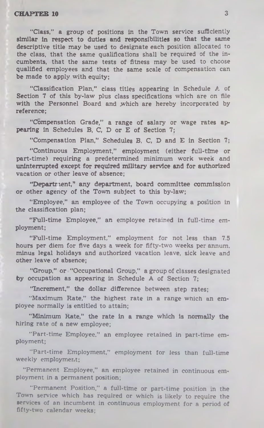"Class," a group of positions in the Town service sufficiently similar in respect to duties and responsibilities so that the same descriptive title may be used to designate each position allocated to the class, that the same qualifications shall be required of the incumbents, that the same tests of fitness may be used to choose qualified employees and that the same scale of compensation can be made to apply with equity;

"Classification Plan," class titles appearing in Schedule A of Section 7 of this by-law plus class specifications which are on file with the Personnel Board and which are hereby incorporated by reference;

"Compensation Grade," a range of salary or wage rates appearing in Schedules B, C, D or E of Section 7;

"Compensation Plan," Schedules B, C, D and E in Section 7;

" Continuous Employment," employment (either full-time or part-time) requiring a predetermined minimum work week and uninterrupted except for required military service and for authorized vacation or other leave of absence;

"Department," any department, board committee commission or other agency of the Town subject to this by-law;

"Employee," an employee of the Town occupying a position in the classification plan;

"Full-time Employee," an employee retained in full-time employment;

"Full-time Employment," employment for not less than 7.5 hours per diem for five days a week for fifty-two weeks per annum, minus legal holidays and authorized vacation leave, sick leave and other leave of absence;

"Group," or "Occupational Group," a group of classes designated by occupation as appearing in Schedule A of Section 7;

"Increment," the dollar difference between step rates;

"Maximum Rate," the highest rate in a range which an employee normally is entitled to attain;

"Minimum Kate," the rate in a range which is normally the hiring rate of a new employee;

"Part-time Employee," an employee retained in part-time employment;

"Part-time Employment," employment for less than full-time weekly employment:

"Permanent Employee," an employee retained in continuous employment in a permanent position;

"Permanent Position," a full-time or part-time position in the Town service which has required or which is likely to require the services of an incumbent in continuous employment for a period of fifty-two calendar weeks;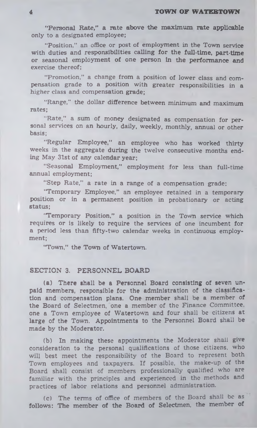"Personal Rate," a rate above the maximum rate applicable only to a designated employee;

"Position," an office or post of employment in the Town service with duties and responsibilities calling for the full-time, part-time or seasonal employment of one person in the performance and exercise thereof;

"Promotion," a change from a position of lower class and compensation grade to a position with greater responsibilities in a higher class and compensation grade;

"Range," the dollar difference between minimum and maximum rates;

"Rate," a sum of money designated as compensation for personal services on an hourly, daily, weekly, monthly, annual or other basis;

"Regular Employee," an employee who has worked thirty weeks in the aggregate during the twelve consecutive months ending May 31st of any calendar year;

"Seasonal Employment," employment for less than full-time annual employment;

"Step Rate," a rate in a range of a compensation grade:

"Temporary Employee," an employee retained in a temporary position or in a permanent position in probationary or acting status;

'Temporary Position," a position in the Town service which requires or is likely to require the services of one incumbent for a period less than fifty-two calendar weeks in continuous employment;

"Town," the Town of Watertown.

#### SECTION 3. PERSONNEL BOARD

(a) There shall be a Personnel Board consisting of seven unpaid members, responsible for the administration of the classification and compensation plans. One member shall be a member of the Board of Selectmen, one a member of the Finance Committee, one a Town employee of Watertown and four shall be citizens at large of the Town. Appointments to the Personnel Board shall be made by the Moderator,

(b) In making these appointments the Moderator shall give consideration to the personal qualifications of those citizens, who will best meet the responsibility of the Board to represent both Town employees and taxpayers. If possible, the make-up of the Board shall consist of members professionally qualified who are familiar with the principles and experienced in the methods and practices of labor relations and personnel administration.

(c) The terms of office of members of the Board shall be as follows: The member of the Board of Selectmen, the member of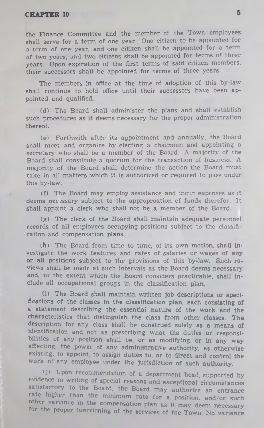the Finance Committee and the member of the Town employees shall serve for a term of one year. One citizen to be appointed for a term of one year, and one citizen shall be appointed for a term of two years, and two citizens shall be appointed for terms of three years. Upon expiration of the first terms of said citizen members, their successors shall be appointed for terms of three years.

The members in office at the time of adoption of this by-law shall continue to hold office until their successors have been appointed and qualified.

(d) The Board shall administer the plans and shall establish such procedures as it deems necessary for the proper administration thereof.

(e) Forthwith after its appointment and annually, the Board shall meet and organize by electing a chairman and appointing a secretary who shall be a member of the Board. A majority of the Board shall constitute a quorum for the transaction of business. A majority of the Board shall determine the action the Board must take in all matters which it is authorized or required to pass under this by-law.

(f) The Board may employ assistance and incur expenses as it deems necessary subject to the approproation of funds therefor. It shall appoint a clerk who shall not be a member of the Board.

(g) The clerk of the Board shall maintain adequate personnel records of all employees occupying positions subject to the classification and compensation plans.

(h) The Board from time to time, of its own motion, shall investigate the work features and rates of salaries or wages of any or all positions subject to the provisions of this by-law. Such reviews shall be made at such intervals as the Board deems necessary' and, to the extent which the Board considers practicable, shall include all occupational groups in the classification plan.

(i) The Board shall maintain written job descriptions or specifications of the classes in the classification plan, each consisting of a statement describing the essential nature of the work and the characteristics that distinguish the class from other classes. The description for any class shall be construed solely as a means of Identification and not as prescribing what the duties or responsibilities of any position shall be, or as modifying, or in any way affecting, the power of any administrative authority, as otherwise existing, to appoint, to assign duties to, or to direct and control the work of any employee under the jurisdiction of such authority.

fj! Upon recommendation of a department head, supported by evidence in writing of special reasons and exceptional circumstances satisfactory to the Board, the Board may authorize an entrance rate higher than the minimum rate for a position, and/or such other variance in the compensation plan as it may deem necessary ror the proper functioning of the services of the Town. No variance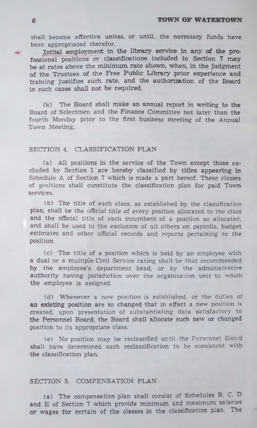shall become effective unless, or until, the necessary funds have been appropriated therefor.

Initial employment in the library service in any of the professional positions or classifications included in Section 7 may be at rates above the minimum rate shown, when, in the judgment of the Trustees of the Free Public Library prior experience and training justifies such rate, and the authorization of the Board in such cases shall not be required.

(k) The Board shall make an annual report in writing to the Board of Selectmen and the Finance Committee not later than the fourth Monday prior to the first business meeting of the Annual Town Meeting.

#### SECTION 4. CLASSIFICATION PLAN

(a) All positions in the service of the Town except those excluded by Section 1 are hereby classified by titles appearing in Schedule A of Section 7 which is made a part hereof. These classes of positions shall constitute the classification plan for paid Town services.

(b) The title of each class, as established by the classification plan, shall be the official title of every position allocated to the class and the official title of each incumbent of a position so allocated, and shall be used to the exclusion of ail others on payrolls, budget estimates and other official records and reports pertaining to the position.

(c) The title of a position which is held by an employee with a dual or a multiple Civil Service rating shall be that recommended by the employee's department head, or by the administrative authority having jurisdiction over the organization unit to which the employee is assigned.

(d) Whenever a new position is established, or the duties of an existing position are so changed that in effect a new position is created, upon presentation of substantiating data satisfactory to the Personnel Board, the Board shall allocate such new or changed position to its appropriate class.

(e) No position may be reclassified until the Personnel Board shall have determined such reclassification to be consistent with the classification plan.

#### SECTION 5. COMPENSATION PLAN

(a) The compensation plan shall consist of Schedules B, C, D and E of Section 7 which provide minimum and maximum salaries or wages for certain of the classes in the classification plan. The

 $\rightarrow$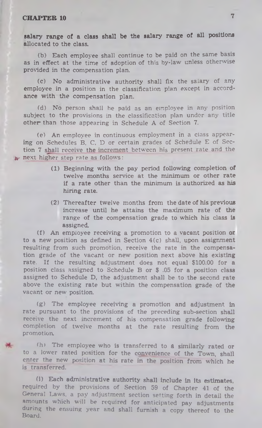salary range of a class shall be the salary range of all positions allocated to the class.

(b) Each employee shall continue to be paid on the same basis as in effect at the time of adoption of this by-law unless otherwise provided in the compensation plan.

(c) No administrative authority shall fix the salary of any employee in a position in the classification plan except in accordance with the compensation plan.

(d) No person shall he paid as an employee in any position subject to the provisions in the classification plan under any title other than those appearing in Schedule A of Section 7.

(e) An employee in continuous employment in a class appearing on Schedules B, C, D or certain grades of Schedule E of Section 7 shall receive the increment between his present rate and the IV- next higher step rate as follows:

- (1) Beginning with the pay period following completion of twelve months service at the minimum or other rate if a rate other than the minimum is authorized as his hiring rate.
- (2) Thereafter twelve months from the date of his previous increase until he attains the maximum rate of the range of the compensation grade to which his class is assigned.

(f) An employee receiving a promotion to a vacant position or to a new position as defined in Section 4(c) shall, upon assignment resulting from such promotion, receive the rate in the compensation grade of the vacant or new position next above his existing rate. If the resulting adjustment does not equal \$100.00 for a position class assigned to Schedule B or \$ .05 for a position class assigned to Schedule D, the adjustment shall be to the second rate above the existing rate but within the compensation grade of the vacant or new position.

(g) The employee receiving a promotion and adjustment in rate pursuant to the provisions of the preceding sub-section shall receive the next increment of his compensation grade following completion of twelve months at the rate resulting from the promotion.

(h) The employee who is transferred to a similarly rated or to a lower rated position for the convenience of the Town, shall enter the new position at his rate in the position from which he is transferred.

(1) Each administrative authority shall include in its estimates, required by the provisions of Section 59 of Chapter 41 of the General Laws, a pay adjustment section setting forth in detail the amounts which will be required for anticipated pay adjustments during the ensuing year and shall furnish a copy thereof to the Board.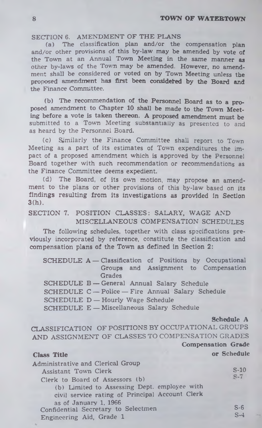#### SECTION 6. AMENDMENT OF THE PLANS

(a) The classification plan and/or the compensation plan and/or other provisions of this by-law may be amended by vote of the Town at an Annual Town Meeting in the same manner as other by-laws of the Town may be amended. However, no amendment shall be considered or voted on by Town Meeting unless the proposed amendment has first been considered by the Board and the Finance Committee.

(b) The recommendation of the Personnel Board as to a proposed amendment to Chapter 10 shall be made to the Town Meeting before a vote is taken thereon. A proposed amendment must be submitted to a Town Meeting substantially as presented to and as heard by the Personnel Board.

(c) Similarly the Finance Committee shall report to Town Meeting as a part of its estimates of Town expenditures the impact of a proposed amendment which is approved by the Personnel Board together with such recommendation or recommendations as the Finance Committee deems expedient.

(d) The Board, of its own motion, may propose an amendment to the plans or other provisions of this by-law based on its findings resulting from its investigations as provided in Section 3(h).

#### SECTION 7. POSITION CLASSES: SALARY, WAGE AND MISCELLANEOUS COMPENSATION SCHEDULES

The following schedules, together with class specifications previously incorporated by reference, constitute the classification and compensation plans of the Town as defined in Section 2:

SCHEDULE A - Classification of Positions by Occupational Groups and Assignment to Compensation **Grades** 

SCHEDULE B — General Annual Salary Schedule

SCHEDULE C — Police — Fire Annual Salary Schedule

SCHEDULE D - Hourly Wage Schedule

SCHEDULE E — Miscellaneous Salary Schedule

#### Schedule A

Compensation Grade

CLASSIFICATION OF POSITIONS BY OCCUPATIONAL GROUPS AND ASSIGNMENT OF CLASSES TO COMPENSATION GRADES

#### Class Title **Class Title or Schedule**

| <b>Administrative and Clerical Group</b><br>Assistant Town Clerk<br>Clerk to Board of Assessors (b)<br>(b) Limited to Assessing Dept. employee with<br>civil service rating of Principal Account Clerk | $S-10$<br>$S-7$ |
|--------------------------------------------------------------------------------------------------------------------------------------------------------------------------------------------------------|-----------------|
| as of January 1, 1966<br>Confidential Secretary to Selectmen<br>Engineering Aid, Grade 1                                                                                                               | $S-6$<br>$S-4$  |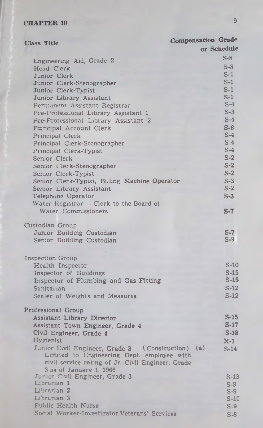| <b>Class Title</b>                                  | <b>Compensation Grade</b> |
|-----------------------------------------------------|---------------------------|
|                                                     | or Schedule               |
| Engineering Aid, Grade 2                            | $S-8$                     |
| Head Clerk                                          | $S-8$                     |
| Junior Clerk                                        | $S-1$                     |
| Junior Clerk-Stenographer                           | $S-1$                     |
| Junior Clerk-Typist                                 | $S-1$                     |
| Junior Library Assistant                            | $S-1$                     |
| Permanent Assistant Registrar                       | $S-4$                     |
| Pre-Professional Library Assistant 1                | $S-3$                     |
| Pre-Professional Library Assistant 2                | $S-4$                     |
| Principal Account Clerk                             | $S-6$                     |
| Principal Clerk                                     | $S-4$                     |
|                                                     | $S-4$                     |
| Principal Clerk-Stenographer                        | $S-4$                     |
| Principal Clerk-Typist                              | $S-2$                     |
| Senior Clerk                                        | $S-2$                     |
| Senior Clerk-Stenographer                           |                           |
| Senior Clerk-Typist                                 | $S-2$                     |
| Senior Clerk-Typist, Billing Machine Operator       | $S-3$                     |
| Senior Library Assistant                            | $S-2$                     |
| Telephone Operator                                  | $S-3$                     |
| Water Registrar $\rightarrow$ Clerk to the Board of |                           |
| Water Commissioners                                 | $S-7$                     |
| Custodian Group                                     |                           |
| Junior Building Custodian                           | S-7                       |
| Senior Building Custodian                           | $S-9$                     |
|                                                     |                           |
| <b>Inspection Group</b>                             |                           |
| Health Inspector                                    | $S-10$                    |
| Inspector of Buildings                              | $S-15$                    |
| Inspector of Plumbing and Gas Fitting               | $S-15$                    |
| Sanitarian                                          | $S-12$                    |
|                                                     | $S-12$                    |
| Scaler of Weights and Measures                      |                           |
| Professional Group                                  |                           |
| Assistant Library Director                          | $S-15$                    |
| Assistant Town Engineer, Grade 4                    | $S-17$                    |
| Civil Engineer, Grade 4                             | $S-18$                    |
| Hvgienist                                           | $X-1$                     |
| Junior Civil Engineer, Grade 3<br>(Construction)    | (a)<br>$S-14$             |
| Limited to Engineering Dept. employee with          |                           |
| civil service rating of Jr. Civil Engineer, Grade   |                           |
| 3 as of January 1, 1966                             |                           |
| Junior Civil Engineer, Grade 3                      | S-13                      |
| Librarian 1                                         | $S-8$                     |
| Librarian <sub>2</sub>                              | $S-9$                     |
| Librarian <sub>3</sub>                              | $S-1$                     |
| Public Health Nurse                                 | $S-9$                     |
| Social Worker-Investigator, Veterans' Services      | $S-8$                     |
|                                                     |                           |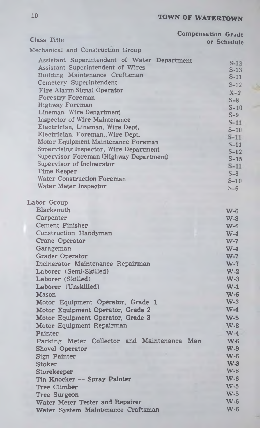|                                              | <b>Compensation Grade</b> |
|----------------------------------------------|---------------------------|
| <b>Class Title</b>                           | or Schedule               |
| Mechanical and Construction Group            |                           |
| Assistant Superintendent of Water Department |                           |
| <b>Assistant Superintendent of Wires</b>     | $S-13$<br>$S-13$          |
| Building Maintenance Craftsman               | $S-11$                    |
| Cemetery Superintendent                      | $S-12$                    |
| Fire Alarm Signal Operator                   | $X - 2$                   |
| <b>Forestry Foreman</b>                      |                           |
| Highway Foreman                              | $S-8$                     |
| Lineman, Wire Department                     | $S-10$<br>$S-9$           |
| <b>Inspector of Wire Maintenance</b>         | $S-11$                    |
| Electrician, Lineman, Wire Dept.             | $S-10$                    |
| Electrician, Foreman, Wire Dept.             | $S-11$                    |
| Motor Equipment Maintenance Foreman          | $S-11$                    |
| Supervising Inspector, Wire Department       | $S-12$                    |
| Supervisor Foreman (Highway Department)      | $S-15$                    |
| Supervisor of Incinerator                    | $S-11$                    |
| Time Keeper                                  | $S-8$                     |
| <b>Water Construction Foreman</b>            | $S-10$                    |
| Water Meter Inspector                        | $S-6$                     |
|                                              |                           |
| Labor Group                                  |                           |
| Blacksmith                                   | $W-6$                     |
| Carpenter                                    | $W-8$                     |
| <b>Cement Finisher</b>                       | $W-6$                     |
| Construction Handyman                        | $W-4$                     |
| Crane Operator                               | $W-7$                     |
| Garageman                                    | $W-4$                     |
| <b>Grader Operator</b>                       | $W-7$                     |
| Incinerator Maintenance Repairman            | $W-7$                     |
| Laborer (Semi-Skilled)                       | $W-2$                     |
| Laborer (Skilled)                            | $W-3$                     |
| Laborer (Unskilled)                          | $W-1$                     |
| <b>Mason</b>                                 | $W-6$                     |
| Motor Equipment Operator, Grade 1            | $W-3$                     |
| Motor Equipment Operator, Grade 2            | $W-4$                     |
| Motor Equipment Operator, Grade 3            | $W-5$                     |
| Motor Equipment Repairman                    | $W-8$                     |
| Painter                                      | $W-4$                     |
| Parking Meter Collector and Maintenance Man  | $W-6$                     |
| <b>Shovel Operator</b>                       | $W-9$                     |
| Sign Painter                                 | $W-6$                     |
| <b>Stoker</b>                                | $W-3$                     |
| Storekeeper                                  | $W-8$                     |
| Tin Knocker -- Spray Painter                 | $W-6$                     |
| <b>Tree Climber</b>                          | $W-5$                     |
| Tree Surgeon                                 | $W-5$                     |
| Water Meter Tester and Repairer              | $W-6$                     |
| Water System Maintenance Craftsman           | <b>W-6</b>                |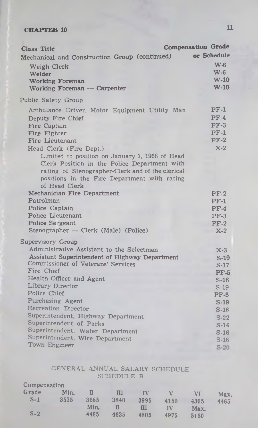| <b>Class Title</b>                               | <b>Compensation Grade</b> |
|--------------------------------------------------|---------------------------|
| Mechanical and Construction Group (continued)    | or Schedule               |
| Weigh Clerk                                      | W <sub>6</sub>            |
| Welder                                           | W-6                       |
| <b>Working Foreman</b>                           | $W-10$                    |
| Working Foreman — Carpenter                      | $W-10$                    |
| Public Safety Group                              |                           |
| Ambulance Driver, Motor Equipment Utility Man    | $PF-1$                    |
| Deputy Fire Chief                                | $PF-4$                    |
| Fire Captain                                     | $PF-3$                    |
| Fire Fighter                                     | $PF-1$                    |
| Fire Lieutenant                                  | $PF-2$                    |
| Head Clerk (Fire Dept.)                          | $X-2$                     |
| Limited to position on January 1, 1966 of Head   |                           |
| Clerk Position in the Police Department with     |                           |
| rating of Stenographer-Clerk and of the clerical |                           |
| positions in the Fire Department with rating     |                           |
| of Head Clerk                                    |                           |
| Mechanician Fire Department                      | $PF-2$                    |
| Patrolman                                        | $PF-1$                    |
| Police Captain                                   | $PF-4$                    |
| Police Lieutenant                                | $PF-3$                    |
| Police Sergeant                                  | $PF-2$                    |
| Stenographer - Clerk (Male) (Police)             | $X-2$                     |
| Supervisory Group                                |                           |
| Administrative Assistant to the Selectmen        | $X-3$                     |
| Assistant Superintendent of Highway Department   | $S-19$                    |
| Commissioner of Veterans' Services               | $S-17$                    |
| Fire Chief                                       | $PF-5$                    |
| Health Officer and Agent                         | $S-16$                    |
| Library Director<br>Police Chief                 | $S-19$                    |
| Purchasing Agent                                 | $PF-5$                    |
| <b>Recreation Director</b>                       | $S-19$                    |
| Superintendent, Highway Department               | $S-16$                    |
| Superintendent of Parks                          | $S-22$                    |
| Superintendent, Water Department                 | $S-14$                    |
| Superintendent, Wire Department                  | $S-16$                    |
| Town Engineer                                    | $S-16$                    |
|                                                  | $S-20$                    |

#### GENERAL ANNUAL SALARY SCHEDULE SCHEDULE B

| Compensation |      |      |      |      |      |      |      |
|--------------|------|------|------|------|------|------|------|
| Grade        | Min. | Ū    | Ш    | IV   | ν    | VI   | Max. |
| $S-1$        | 3535 | 3685 | 3840 | 3995 | 4150 | 4305 | 4465 |
|              |      | Min. |      | П    | ΓV   | Max. |      |
| $S-2$        |      | 4465 | 4635 | 4805 | 4975 | 5150 |      |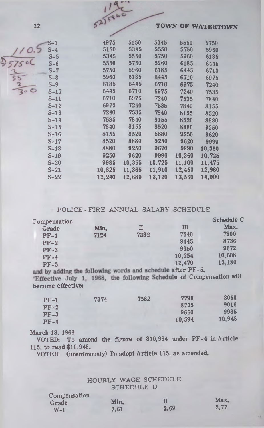| 12 |        | 52)5860 |        |        |        | TOWN OF WATERTOWN |  |
|----|--------|---------|--------|--------|--------|-------------------|--|
|    |        |         |        |        |        |                   |  |
|    | $S-3$  | 4975    | 5150   | 5345   | 5550   | 5750              |  |
|    | $S-4$  | 5150    | 5345   | 5550   | 5750   | 5960              |  |
|    | $S-5$  | 5345    | 5550   | 5750   | 5960   | 6185              |  |
|    | $S-6$  | 5550    | 5750   | 5960   | 6185   | 6445              |  |
|    | $S-7$  | 5750    | 5960   | 6185   | 6445   | 6710              |  |
|    | $S-8$  | 5960    | 6185   | 6445   | 6710   | 6975              |  |
|    | $S-9$  | 6185    | 6445   | 6710   | 6975   | 7240              |  |
|    | $S-10$ | 6445    | 6710   | 6975   | 7240   | 7535              |  |
|    | $S-11$ | 6710    | 6975   | 7240   | 7535   | 7840              |  |
|    | $S-12$ | 6975    | 7240   | 7535   | 7840   | 8155              |  |
|    | $S-13$ | 7240    | 7535   | 7840   | 8155   | 8520              |  |
|    | $S-14$ | 7535    | 7840   | 8155   | 8520   | 8880              |  |
|    | $S-15$ | 7840    | 8155   | 8520   | 8880   | 9250              |  |
|    | $S-16$ | 8155    | 8520   | 8880   | 9250   | 9620              |  |
|    | $S-17$ | 8520    | 8880   | 9250   | 9620   | 9990              |  |
|    | $S-18$ | 8880    | 9250   | 9620   | 9990   | 10,360            |  |
|    | $S-19$ | 9250    | 9620   | 9990   | 10,360 | 10,725            |  |
|    | $S-20$ | 9985    | 10,355 | 10,725 | 11,100 | 11,475            |  |
|    | $S-21$ | 10,825  | 11,365 | 11,910 | 12,450 | 12,980            |  |
|    | $S-22$ | 12,240  | 12,680 | 13,120 | 13,560 | 14,000            |  |
|    |        |         |        |        |        |                   |  |

 $, 14$ 

#### POLICE - FIRE ANNUAL SALARY SCHEDULE

| Compensation |      |           |        | Schedule C |
|--------------|------|-----------|--------|------------|
| Grade        | Min. | Π         | Ш      | Max.       |
| $PF-1$       | 7124 | 7332      | 7540   | 7800       |
| $PF-2$       |      |           | 8445   | 8736       |
| $PF-3$       |      |           | 9350   | 9672       |
| $PF-4$       |      |           | 10,254 | 10,608     |
| $PF-5$       |      | _________ | 12,470 | 13,180     |

become effective: ifter PF-5. "Effective July 1, 1968, the following Schedule of Compensation will

| $PF-1$ | 7374 | 7582 | 7790   | 8050   |
|--------|------|------|--------|--------|
| $PF-2$ |      |      | 8725   | 9016   |
| $PF-3$ |      |      | 9660   | 9985   |
| $PF-4$ |      |      | 10.594 | 10.948 |

March 18, 1968

VOTED: To amend the figure of \$10,984 under PF-4 In Article 115, to read \$10,948.

VOTED: (unanimously) To adopt Article 115, as amended.

#### HOURLY WAGE SCHEDULE SCHEDULE D

| Compensation |      |      |      |
|--------------|------|------|------|
| Grade        | Min. |      | Max. |
| $W-1$        | 2.61 | 2,69 | 2.77 |
|              |      |      |      |

 $\frac{110.5}{2575}$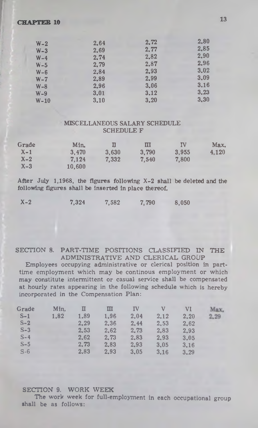| $W-2$   | 2.64 | 2.72 | 2.80 |
|---------|------|------|------|
| $W-3$   | 2.69 | 2.77 | 2.85 |
| $W-4$   | 2.74 | 2.82 | 2.90 |
| $W-5$   | 2.79 | 2.87 | 2.96 |
| $W - 6$ | 2.84 | 2.93 | 3.02 |
| $W - 7$ | 2.89 | 2.99 | 3.09 |
| $W - 8$ | 2.96 | 3.06 | 3.16 |
| $W - 9$ | 3.01 | 3.12 | 3,23 |
| $W-10$  | 3.10 | 3.20 | 3.30 |

#### MISCELLANEOUS SALARY SCHEDULE SCHEDULE F

| Grade   | Min.   |       | н     | IV    | Max.  |
|---------|--------|-------|-------|-------|-------|
| $X-1$   | 3.470  | 3.630 | 3,790 | 3.955 | 4.120 |
| $X - 2$ | 7.124  | 7.332 | 7.540 | 7,800 |       |
| $X-3$   | 10.600 |       |       |       |       |

After July 1,1968, the figures following X-2 shall be deleted and the following figures shall be inserted In place thereof.

| $X-2$ | 7,324 | 7,582 | 7.790 | 8,050 |
|-------|-------|-------|-------|-------|
|       |       |       |       |       |

SECTION 8. PART-TIME POSITIONS CLASSIFIED IN THE ADMINISTRATIVE AND CLERICAL GROUP Employees occupying administrative or clerical position in parttime employment which may be continous employment or which may constitute intermittent or casual service shall be compensated at hourly rates appearing in the following schedule which is herebyincorporated in the Compensation Plan:

| Grade | Min. |      | ш    | ΓV   | v    | VI   | Max. |
|-------|------|------|------|------|------|------|------|
| $S-1$ | 1.82 | 1.89 | 1.96 | 2.04 | 2.12 | 2.20 | 2,29 |
| $S-2$ |      | 2.29 | 2.36 | 2.44 | 2.53 | 2.62 |      |
| $S-3$ |      | 2.53 | 2.62 | 2.73 | 2,83 | 2.93 |      |
| $S-4$ |      | 2.62 | 2.73 | 2.83 | 2.93 | 3.05 |      |
| $S-5$ |      | 2.73 | 2.83 | 2.93 | 3.05 | 3.16 |      |
| $S-6$ |      | 2.83 | 2.93 | 3.05 | 3.16 | 3.29 |      |
|       |      |      |      |      |      |      |      |

#### SECTION 9. WORK WEEK

The work week for full-employment in each occupational group shall be as follows: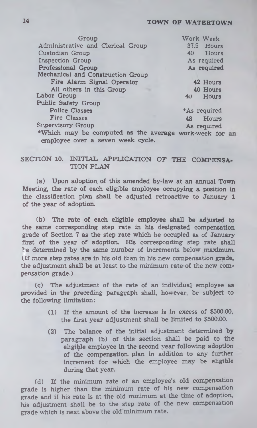### 14 TOWN OF WATERTOWN

| Group                                                                                       | Work Week                |  |  |  |
|---------------------------------------------------------------------------------------------|--------------------------|--|--|--|
| Administrative and Clerical Group                                                           | 37.5 Hours               |  |  |  |
| Custodian Group                                                                             | 40 Hours                 |  |  |  |
| <b>Inspection Group</b>                                                                     | As required              |  |  |  |
| Professional Group                                                                          | As required              |  |  |  |
| Mechanical and Construction Group                                                           |                          |  |  |  |
| Fire Alarm Signal Operator                                                                  | 42 Hours                 |  |  |  |
| All others in this Group                                                                    | 40 Hours                 |  |  |  |
| Labor Group                                                                                 | Hours<br>40 <sup>°</sup> |  |  |  |
| Public Safety Group                                                                         |                          |  |  |  |
| <b>Police Classes</b>                                                                       | *As required             |  |  |  |
| <b>Fire Classes</b>                                                                         | 48<br>Hours              |  |  |  |
| <b>Supervisory Group</b>                                                                    | As required              |  |  |  |
| *Which may be computed as the average work-week for an<br>employee over a seven week cycle. |                          |  |  |  |

#### SECTION 10. INITIAL APPLICATION OF THE COMPENSA-TION PLAN

(a) Upon adoption, of this amended by-law at an annual Town Meeting, the rate of each eligible employee occupying a position in the classification plan, shall be adjusted retroactive to January 1 of the year of adoption.

(b) The rate of each eligible employee shall be adjusted to the same corresponding step rate in his designated compensation grade of Section 7 as the step rate which he occupied as of January first of the year of adoption. His corresponding step rate shall le determined by the same number of increments below maximum. (If more step rates are in his old than in his new compensation grade, the adjustment shall be at least to the minimum rate of the new compensation grade.)

(c) The adjustment of the rate of an individual employee as provided in the preceding paragraph shall, however, be subject to the following limitation:

- (1) If the amount of the increase is in excess of \$500.00, the first year adjustment shall be limited to \$500.00.
- (2) The balance of the initial adjustment determined by paragraph (b) of this section shall be paid to the eligible employee in the second year following adoption of the compensation, plan in addition to any further increment for which the employee may be eligible during that year.

(d) If the minimum rate of an employee's old compensation grade is higher than the minimum rate of his new compensation grade and if his rate is at the old minimum at the time of adoption, his adjustment shall be to the step rate of the new compensation grade which is next above the old minimum rate.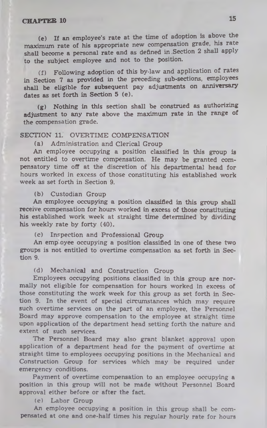(e) If an employee's rate at the time of adoption is above the maximum rate of his appropriate new compensation grade, his rate shall become a personal rate and as defined in .Section 2 shall apply to the subject employee and not to the position.

(f) Following adoption of this by-law and application of rates in Section 7 as provided in the preceding sub-sections, employees shall be eligible for subsequent pay adjustments on anniversary dates as set forth in Section 5 (e).

(g) Nothing in this section shall be construed as authorizing adjustment to any rate above the maximum rate in the range of the compensation grade.

#### SECTION 11. OVERTIME COMPENSATION

(a) Administration and Clerical Group

An employee occupying a position classified in this group is not entitled to overtime compensation. He may be granted compensatory time off at the discretion of his departmental head for hours worked in excess of those constituting his established work week as set forth in Section 9.

#### (b) Custodian Group

An employee occupying a position classified in this group shall receive compensation for hours worked in excess of those constituting his established work week at straight time determined by dividing his weekly rate by forty (40).

(c) Inspection and Professional Group

An emp oyee occupying a position classified in one of these two groups is not entitled to overtime compensation as set forth in Section 9.

(d) Mechanical and Construction Group

Employees occupying positions classified in this group are normally not eligible for compensation for hours worked in excess of those constituting the work week for this group as set forth in Section 9. In the event of special circumstances which may require such overtime services on the part of an employee, the Personnel Board may approve compensation to the employee at straight time upon application of the department head setting forth the nature and extent of such services.

The Personnel Board may also grant blanket approval upon application of a department head for the payment of overtime at straight time to employees occupying positions in the Mechanical and Construction Group for services which may be required under emergency conditions.

Payment of overtime compensation to an employee occupying a position in this group will not be made without Personnel Board approval either before or after the fact.

(e) Labor Group

An employee occupying a position in this group shall be compensated at one and one-half times his regular hourly rate for hours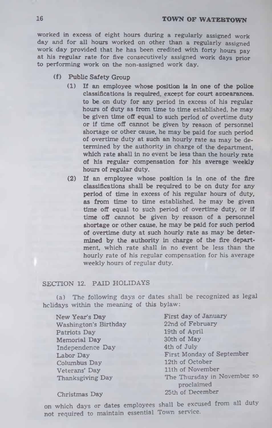worked in excess of eight hours during a regularly assigned work day and for all hours worked on other than a regularly assigned work day provided that he has been credited with forty hours pay at his regular rate for five consecutively assigned work days prior to performing work on the non-assigned work day.

- (f) Public Safety Group
	- (1) If an employee whose position is in one of the police classifications is required, except for court appearances, to be on duty for any period in excess of his regular hours of duty as from time to time established, he may be given time off equal to such period of overtime duty or if time off cannot be given by reason of personnel shortage or other cause, he may be paid for such period of overtime duty at such an hourly rate as may be determined by the authority in charge of the department, which rate shall in no event be less than the hourly rate of his regular compensation for his average weekly hours of regular duty.
	- (2) If an employee whose position is in one of the fire classifications shall be required to be on duty for any period of time in excess of his regular hours of duty, as from time to time established, he may be given time off equal to such period of overtime duty, or if time off cannot be given by reason of a personnel shortage or other cause, he may be paid for such period of overtime duty at such hourly rate as may be determined by the authority in charge of the fire department, which rate shall in no event be less than the hourly rate of his regular compensation for his average weekly hours of regular duty.

#### SECTION 12. PAID HOLIDAYS

(a) The following days or dates shall be recognized as legal holidays within the meaning of this bylaw:

New Year's Day Washington's Birthday Patriots Day Memorial Day Independence Day Labor Day Columbus Day Veterans' Day Thanksgiving Day

First day of January 22nd of February 19th of April 30th of May 4th of July First Monday of September 12th of October 11th of November The Thursday in November so proclaimed 25th of December

Christmas Day

on which days or dates employees shall be excused from all duty not required to maintain essential Town service.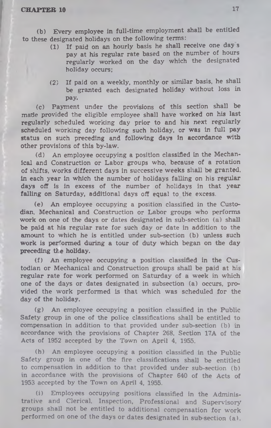(b) Every employee in full-time employment shall be entitled to these designated holidays on the following terms:

- (1) If paid on an hourly basis he shall receive one day s pay at his regular rate based on the number of hours regularly worked on the day which the designated holiday occurs:
- (2) If paid on a weekly, monthly or similar basis, he shall be granted each designated holiday without loss in pay.

(c) Payment under the provisions of this section shall be made provided the eligible employee shall have worked on his last regularly scheduled working day prior to and his next regularly scheduled working day following such holiday, or was in full pay status on such preceding and following days in accordance with other provisions of this by-law.

(d) An employee occupying a position classified in the Mechanical and Construction or Labor groups who, because of a rotation of shifts, works different days in successive weeks shall be granted, in each year in which the number of holidays falling on his regular days off is in excess of the number of holidays in that year falling on Saturday, additional days off equal to the excess.

(e) An employee occupying a position classified in the Custodian, Mechanical and Construction or Labor groups who performs work on one of the days or dates designated in sub-section (a) shall be paid at his regular rate for such day or date in addition to the amount to which he is entitled under sub-section (b) unless such work is performed during a tour of duty which began on the day preceding the holiday.

(f) An employee occupying a position classified in the Custodian or Mechanical and Construction groups shall be paid at his regular rate for work performed on Saturday of a week in which one of the days or dates designated in subsection (a) occurs, provided the work performed is that which was scheduled for the day of the holiday.

(g) An employee occupying a position classified in the Public Safety group in one of the police classifications shall be entitled to compensation in addition to that provided under sub-section (b) in accordance with the provisions of Chapter 268, Section 17A of the Acts of 1952 accepted by the Town on April 4, 1955.

(h) An employee occupying a position classified in the Public Safety group in one of the fire classifications shall be entitled to compensation in addition to that provided under sub-section (b) in accordance with the provisions of Chapter 640 of the Acts of 1953 accepted by the Town on April 4, 1955.

(i) Employees occupying positions classified in the Administrative and Clerical, Inspection, Professional and Supervisory groups shall not be entitled to additional compensation for work performed on one of the days or dates designated in sub section (a).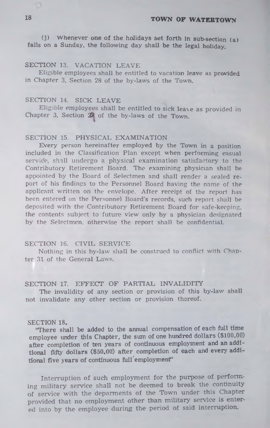(i) Whenever one of the holidays set forth in sub-section  $(a)$ falls on a Sunday, the following day shall be the legal holiday.

#### SECTION 13. VACATION LEAVE

Eligible employees shall be entitled to vacation leave as provided in Chapter 3, Section 28 of the by-laws of the Town.

#### SECTION 14. SICK LEAVE

Eligible employees shall be entitled to sick leave as provided in Chapter 3, Section  $29$  of the by-laws of the Town.

#### SECTION 15. PHYSICAL EXAMINATION

Every person hereinafter employed by the Town in a position included in the Classification Plan except when performing casual service, shall undergo a physical examination satisfactory to the Contributory Retirement Board. The examining physician shall be appointed by the Board of Selectmen and shall render a sealed report of his findings to the Personnel Board having the name of the applicant written on the envelope. After receipt of the report has been entered on the Personnel Board's records, such report shall be deposited with the Contributory Retirement Board for safe-keeping, the contents subject to future view only by a physician designated by the Selectmen, otherwise the report shall be confidential.

#### SECTION 16. CIVIL SERVICE

Nothing in this by-law shall be construed to conflict with Chapter 31 of the General Laws.

#### SECTION 17. EFFECT OF PARTIAL INVALIDITY

The invalidity of any section or provision of this by-law shall not invalidate any other section or provision thereof.

#### SECTION 18.

'There shall be added to the annual compensation of each full time employee under this Chapter, the sum of one hundred dollars (\$100.00) after completion of ten years of continuous employment and an additional fifty dollars (\$50.00) after completion of each and every additional five years of continuous full employment"

Interruption of such employment for the purpose of performing military service shall not be deemed to break the continuity of service with the deparments of the Town under this Chapter provided that no employment other than military service is entered into by the employee during the period of said interruption.